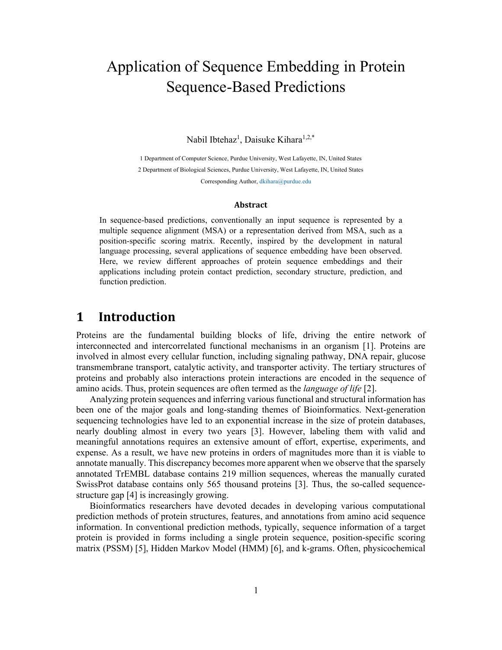# Application of Sequence Embedding in Protein Sequence-Based Predictions

Nabil Ibtehaz<sup>1</sup>, Daisuke Kihara<sup>1,2,\*</sup>

1 Department of Computer Science, Purdue University, West Lafayette, IN, United States 2 Department of Biological Sciences, Purdue University, West Lafayette, IN, United States Corresponding Author, dkihara@purdue.edu

#### **Abstract**

In sequence-based predictions, conventionally an input sequence is represented by a multiple sequence alignment (MSA) or a representation derived from MSA, such as a position-specific scoring matrix. Recently, inspired by the development in natural language processing, several applications of sequence embedding have been observed. Here, we review different approaches of protein sequence embeddings and their applications including protein contact prediction, secondary structure, prediction, and function prediction.

## **1 Introduction**

Proteins are the fundamental building blocks of life, driving the entire network of interconnected and intercorrelated functional mechanisms in an organism [1]. Proteins are involved in almost every cellular function, including signaling pathway, DNA repair, glucose transmembrane transport, catalytic activity, and transporter activity. The tertiary structures of proteins and probably also interactions protein interactions are encoded in the sequence of amino acids. Thus, protein sequences are often termed as the *language of life* [2].

Analyzing protein sequences and inferring various functional and structural information has been one of the major goals and long-standing themes of Bioinformatics. Next-generation sequencing technologies have led to an exponential increase in the size of protein databases, nearly doubling almost in every two years [3]. However, labeling them with valid and meaningful annotations requires an extensive amount of effort, expertise, experiments, and expense. As a result, we have new proteins in orders of magnitudes more than it is viable to annotate manually. This discrepancy becomes more apparent when we observe that the sparsely annotated TrEMBL database contains 219 million sequences, whereas the manually curated SwissProt database contains only 565 thousand proteins [3]. Thus, the so-called sequencestructure gap [4] is increasingly growing.

Bioinformatics researchers have devoted decades in developing various computational prediction methods of protein structures, features, and annotations from amino acid sequence information. In conventional prediction methods, typically, sequence information of a target protein is provided in forms including a single protein sequence, position-specific scoring matrix (PSSM) [5], Hidden Markov Model (HMM) [6], and k-grams. Often, physicochemical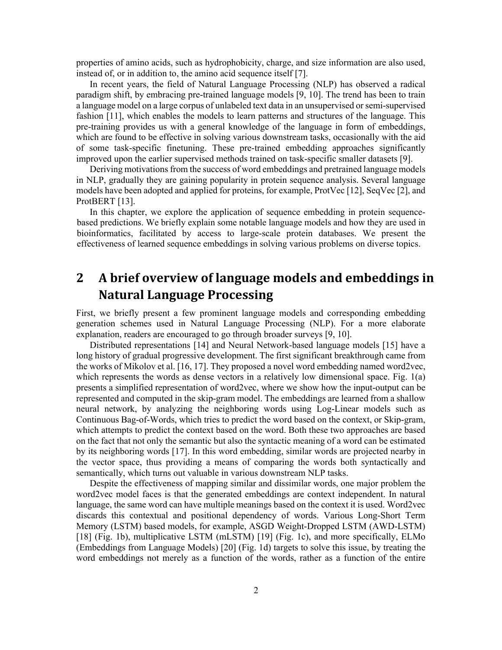properties of amino acids, such as hydrophobicity, charge, and size information are also used, instead of, or in addition to, the amino acid sequence itself [7].

In recent years, the field of Natural Language Processing (NLP) has observed a radical paradigm shift, by embracing pre-trained language models [9, 10]. The trend has been to train a language model on a large corpus of unlabeled text data in an unsupervised or semi-supervised fashion [11], which enables the models to learn patterns and structures of the language. This pre-training provides us with a general knowledge of the language in form of embeddings, which are found to be effective in solving various downstream tasks, occasionally with the aid of some task-specific finetuning. These pre-trained embedding approaches significantly improved upon the earlier supervised methods trained on task-specific smaller datasets [9].

Deriving motivations from the success of word embeddings and pretrained language models in NLP, gradually they are gaining popularity in protein sequence analysis. Several language models have been adopted and applied for proteins, for example, ProtVec [12], SeqVec [2], and ProtBERT [13].

In this chapter, we explore the application of sequence embedding in protein sequencebased predictions. We briefly explain some notable language models and how they are used in bioinformatics, facilitated by access to large-scale protein databases. We present the effectiveness of learned sequence embeddings in solving various problems on diverse topics.

## **2 A brief overview of language models and embeddings in Natural Language Processing**

First, we briefly present a few prominent language models and corresponding embedding generation schemes used in Natural Language Processing (NLP). For a more elaborate explanation, readers are encouraged to go through broader surveys [9, 10].

Distributed representations [14] and Neural Network-based language models [15] have a long history of gradual progressive development. The first significant breakthrough came from the works of Mikolov et al. [16, 17]. They proposed a novel word embedding named word2vec, which represents the words as dense vectors in a relatively low dimensional space. Fig. 1(a) presents a simplified representation of word2vec, where we show how the input-output can be represented and computed in the skip-gram model. The embeddings are learned from a shallow neural network, by analyzing the neighboring words using Log-Linear models such as Continuous Bag-of-Words, which tries to predict the word based on the context, or Skip-gram, which attempts to predict the context based on the word. Both these two approaches are based on the fact that not only the semantic but also the syntactic meaning of a word can be estimated by its neighboring words [17]. In this word embedding, similar words are projected nearby in the vector space, thus providing a means of comparing the words both syntactically and semantically, which turns out valuable in various downstream NLP tasks.

Despite the effectiveness of mapping similar and dissimilar words, one major problem the word2vec model faces is that the generated embeddings are context independent. In natural language, the same word can have multiple meanings based on the context it is used. Word2vec discards this contextual and positional dependency of words. Various Long-Short Term Memory (LSTM) based models, for example, ASGD Weight-Dropped LSTM (AWD-LSTM) [18] (Fig. 1b), multiplicative LSTM (mLSTM) [19] (Fig. 1c), and more specifically, ELMo (Embeddings from Language Models) [20] (Fig. 1d) targets to solve this issue, by treating the word embeddings not merely as a function of the words, rather as a function of the entire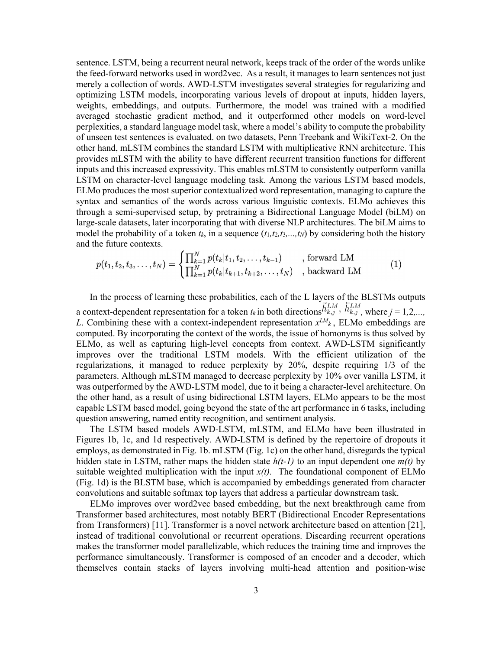sentence. LSTM, being a recurrent neural network, keeps track of the order of the words unlike the feed-forward networks used in word2vec. As a result, it manages to learn sentences not just merely a collection of words. AWD-LSTM investigates several strategies for regularizing and optimizing LSTM models, incorporating various levels of dropout at inputs, hidden layers, weights, embeddings, and outputs. Furthermore, the model was trained with a modified averaged stochastic gradient method, and it outperformed other models on word-level perplexities, a standard language model task, where a model's ability to compute the probability of unseen test sentences is evaluated. on two datasets, Penn Treebank and WikiText-2. On the other hand, mLSTM combines the standard LSTM with multiplicative RNN architecture. This provides mLSTM with the ability to have different recurrent transition functions for different inputs and this increased expressivity. This enables mLSTM to consistently outperform vanilla LSTM on character-level language modeling task. Among the various LSTM based models, ELMo produces the most superior contextualized word representation, managing to capture the syntax and semantics of the words across various linguistic contexts. ELMo achieves this through a semi-supervised setup, by pretraining a Bidirectional Language Model (biLM) on large-scale datasets, later incorporating that with diverse NLP architectures. The biLM aims to model the probability of a token  $t_k$ , in a sequence  $(t_1, t_2, t_3, \ldots, t_N)$  by considering both the history and the future contexts.

$$
p(t_1, t_2, t_3, \dots, t_N) = \begin{cases} \prod_{k=1}^{N} p(t_k | t_1, t_2, \dots, t_{k-1}) & \text{, forward LM} \\ \prod_{k=1}^{N} p(t_k | t_{k+1}, t_{k+2}, \dots, t_N) & \text{, backward LM} \end{cases}
$$
(1)

In the process of learning these probabilities, each of the L layers of the BLSTMs outputs a context-dependent representation for a token  $t_k$  in both directions  $\vec{h}_{k,j}^{LM}$ ,  $\vec{h}_{k,j}^{LM}$ , where  $j = 1, 2, \dots$ *L*. Combining these with a context-independent representation  $x^{LM_k}$ , ELMo embeddings are computed. By incorporating the context of the words, the issue of homonyms is thus solved by ELMo, as well as capturing high-level concepts from context. AWD-LSTM significantly improves over the traditional LSTM models. With the efficient utilization of the regularizations, it managed to reduce perplexity by 20%, despite requiring 1/3 of the parameters. Although mLSTM managed to decrease perplexity by 10% over vanilla LSTM, it was outperformed by the AWD-LSTM model, due to it being a character-level architecture. On the other hand, as a result of using bidirectional LSTM layers, ELMo appears to be the most capable LSTM based model, going beyond the state of the art performance in 6 tasks, including question answering, named entity recognition, and sentiment analysis.

The LSTM based models AWD-LSTM, mLSTM, and ELMo have been illustrated in Figures 1b, 1c, and 1d respectively. AWD-LSTM is defined by the repertoire of dropouts it employs, as demonstrated in Fig. 1b. mLSTM (Fig. 1c) on the other hand, disregards the typical hidden state in LSTM, rather maps the hidden state  $h(t-1)$  to an input dependent one  $m(t)$  by suitable weighted multiplication with the input  $x(t)$ . The foundational component of ELMo (Fig. 1d) is the BLSTM base, which is accompanied by embeddings generated from character convolutions and suitable softmax top layers that address a particular downstream task.

ELMo improves over word2vec based embedding, but the next breakthrough came from Transformer based architectures, most notably BERT (Bidirectional Encoder Representations from Transformers) [11]. Transformer is a novel network architecture based on attention [21], instead of traditional convolutional or recurrent operations. Discarding recurrent operations makes the transformer model parallelizable, which reduces the training time and improves the performance simultaneously. Transformer is composed of an encoder and a decoder, which themselves contain stacks of layers involving multi-head attention and position-wise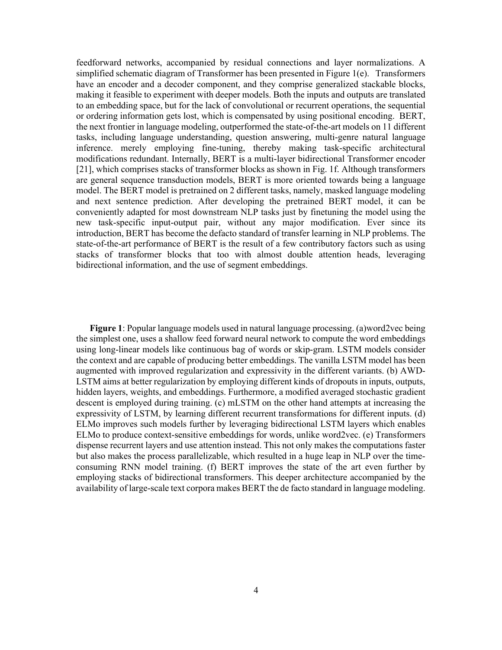feedforward networks, accompanied by residual connections and layer normalizations. A simplified schematic diagram of Transformer has been presented in Figure 1(e). Transformers have an encoder and a decoder component, and they comprise generalized stackable blocks, making it feasible to experiment with deeper models. Both the inputs and outputs are translated to an embedding space, but for the lack of convolutional or recurrent operations, the sequential or ordering information gets lost, which is compensated by using positional encoding. BERT, the next frontier in language modeling, outperformed the state-of-the-art models on 11 different tasks, including language understanding, question answering, multi-genre natural language inference. merely employing fine-tuning, thereby making task-specific architectural modifications redundant. Internally, BERT is a multi-layer bidirectional Transformer encoder [21], which comprises stacks of transformer blocks as shown in Fig. 1f. Although transformers are general sequence transduction models, BERT is more oriented towards being a language model. The BERT model is pretrained on 2 different tasks, namely, masked language modeling and next sentence prediction. After developing the pretrained BERT model, it can be conveniently adapted for most downstream NLP tasks just by finetuning the model using the new task-specific input-output pair, without any major modification. Ever since its introduction, BERT has become the defacto standard of transfer learning in NLP problems. The state-of-the-art performance of BERT is the result of a few contributory factors such as using stacks of transformer blocks that too with almost double attention heads, leveraging bidirectional information, and the use of segment embeddings.

**Figure 1**: Popular language models used in natural language processing. (a)word2vec being the simplest one, uses a shallow feed forward neural network to compute the word embeddings using long-linear models like continuous bag of words or skip-gram. LSTM models consider the context and are capable of producing better embeddings. The vanilla LSTM model has been augmented with improved regularization and expressivity in the different variants. (b) AWD-LSTM aims at better regularization by employing different kinds of dropouts in inputs, outputs, hidden layers, weights, and embeddings. Furthermore, a modified averaged stochastic gradient descent is employed during training. (c) mLSTM on the other hand attempts at increasing the expressivity of LSTM, by learning different recurrent transformations for different inputs. (d) ELMo improves such models further by leveraging bidirectional LSTM layers which enables ELMo to produce context-sensitive embeddings for words, unlike word2vec. (e) Transformers dispense recurrent layers and use attention instead. This not only makes the computations faster but also makes the process parallelizable, which resulted in a huge leap in NLP over the timeconsuming RNN model training. (f) BERT improves the state of the art even further by employing stacks of bidirectional transformers. This deeper architecture accompanied by the availability of large-scale text corpora makes BERT the de facto standard in language modeling.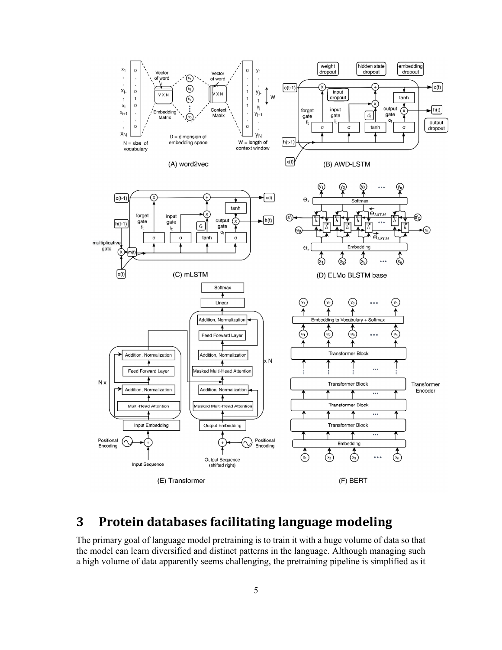

## **3 Protein databases facilitating language modeling**

The primary goal of language model pretraining is to train it with a huge volume of data so that the model can learn diversified and distinct patterns in the language. Although managing such a high volume of data apparently seems challenging, the pretraining pipeline is simplified as it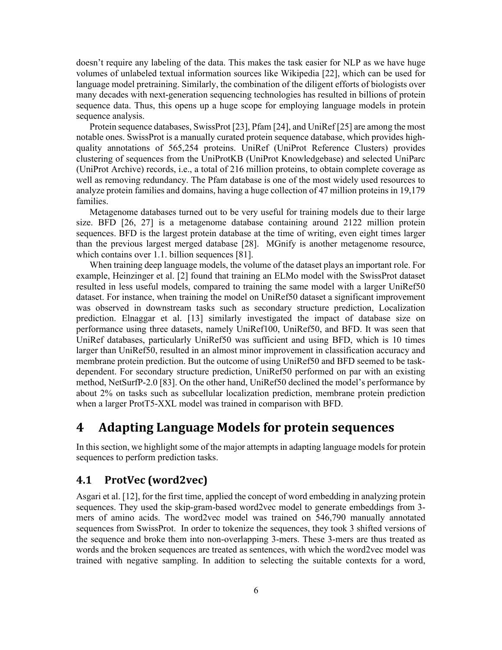doesn't require any labeling of the data. This makes the task easier for NLP as we have huge volumes of unlabeled textual information sources like Wikipedia [22], which can be used for language model pretraining. Similarly, the combination of the diligent efforts of biologists over many decades with next-generation sequencing technologies has resulted in billions of protein sequence data. Thus, this opens up a huge scope for employing language models in protein sequence analysis.

Protein sequence databases, SwissProt [23], Pfam [24], and UniRef [25] are among the most notable ones. SwissProt is a manually curated protein sequence database, which provides highquality annotations of 565,254 proteins. UniRef (UniProt Reference Clusters) provides clustering of sequences from the UniProtKB (UniProt Knowledgebase) and selected UniParc (UniProt Archive) records, i.e., a total of 216 million proteins, to obtain complete coverage as well as removing redundancy. The Pfam database is one of the most widely used resources to analyze protein families and domains, having a huge collection of 47 million proteins in 19,179 families.

Metagenome databases turned out to be very useful for training models due to their large size. BFD [26, 27] is a metagenome database containing around 2122 million protein sequences. BFD is the largest protein database at the time of writing, even eight times larger than the previous largest merged database [28]. MGnify is another metagenome resource, which contains over 1.1. billion sequences [81].

When training deep language models, the volume of the dataset plays an important role. For example, Heinzinger et al. [2] found that training an ELMo model with the SwissProt dataset resulted in less useful models, compared to training the same model with a larger UniRef50 dataset. For instance, when training the model on UniRef50 dataset a significant improvement was observed in downstream tasks such as secondary structure prediction, Localization prediction. Elnaggar et al. [13] similarly investigated the impact of database size on performance using three datasets, namely UniRef100, UniRef50, and BFD. It was seen that UniRef databases, particularly UniRef50 was sufficient and using BFD, which is 10 times larger than UniRef50, resulted in an almost minor improvement in classification accuracy and membrane protein prediction. But the outcome of using UniRef50 and BFD seemed to be taskdependent. For secondary structure prediction, UniRef50 performed on par with an existing method, NetSurfP-2.0 [83]. On the other hand, UniRef50 declined the model's performance by about 2% on tasks such as subcellular localization prediction, membrane protein prediction when a larger ProtT5-XXL model was trained in comparison with BFD.

## **4 Adapting Language Models for protein sequences**

In this section, we highlight some of the major attempts in adapting language models for protein sequences to perform prediction tasks.

### **4.1 ProtVec (word2vec)**

Asgari et al. [12], for the first time, applied the concept of word embedding in analyzing protein sequences. They used the skip-gram-based word2vec model to generate embeddings from 3 mers of amino acids. The word2vec model was trained on 546,790 manually annotated sequences from SwissProt. In order to tokenize the sequences, they took 3 shifted versions of the sequence and broke them into non-overlapping 3-mers. These 3-mers are thus treated as words and the broken sequences are treated as sentences, with which the word2vec model was trained with negative sampling. In addition to selecting the suitable contexts for a word,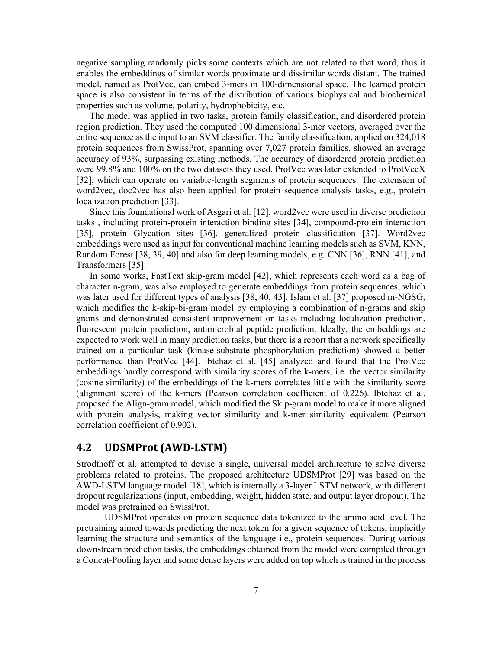negative sampling randomly picks some contexts which are not related to that word, thus it enables the embeddings of similar words proximate and dissimilar words distant. The trained model, named as ProtVec, can embed 3-mers in 100-dimensional space. The learned protein space is also consistent in terms of the distribution of various biophysical and biochemical properties such as volume, polarity, hydrophobicity, etc.

The model was applied in two tasks, protein family classification, and disordered protein region prediction. They used the computed 100 dimensional 3-mer vectors, averaged over the entire sequence as the input to an SVM classifier. The family classification, applied on 324,018 protein sequences from SwissProt, spanning over 7,027 protein families, showed an average accuracy of 93%, surpassing existing methods. The accuracy of disordered protein prediction were 99.8% and 100% on the two datasets they used. ProtVec was later extended to ProtVecX [32], which can operate on variable-length segments of protein sequences. The extension of word2vec, doc2vec has also been applied for protein sequence analysis tasks, e.g., protein localization prediction [33].

Since this foundational work of Asgari et al. [12], word2vec were used in diverse prediction tasks , including protein-protein interaction binding sites [34], compound-protein interaction [35], protein Glycation sites [36], generalized protein classification [37]. Word2vec embeddings were used as input for conventional machine learning models such as SVM, KNN, Random Forest [38, 39, 40] and also for deep learning models, e.g. CNN [36], RNN [41], and Transformers [35].

In some works, FastText skip-gram model [42], which represents each word as a bag of character n-gram, was also employed to generate embeddings from protein sequences, which was later used for different types of analysis [38, 40, 43]. Islam et al. [37] proposed m-NGSG, which modifies the k-skip-bi-gram model by employing a combination of n-grams and skip grams and demonstrated consistent improvement on tasks including localization prediction, fluorescent protein prediction, antimicrobial peptide prediction. Ideally, the embeddings are expected to work well in many prediction tasks, but there is a report that a network specifically trained on a particular task (kinase-substrate phosphorylation prediction) showed a better performance than ProtVec [44]. Ibtehaz et al. [45] analyzed and found that the ProtVec embeddings hardly correspond with similarity scores of the k-mers, i.e. the vector similarity (cosine similarity) of the embeddings of the k-mers correlates little with the similarity score (alignment score) of the k-mers (Pearson correlation coefficient of 0.226). Ibtehaz et al. proposed the Align-gram model, which modified the Skip-gram model to make it more aligned with protein analysis, making vector similarity and k-mer similarity equivalent (Pearson correlation coefficient of 0.902).

#### **4.2 UDSMProt (AWD‐LSTM)**

Strodthoff et al. attempted to devise a single, universal model architecture to solve diverse problems related to proteins. The proposed architecture UDSMProt [29] was based on the AWD-LSTM language model [18], which is internally a 3-layer LSTM network, with different dropout regularizations (input, embedding, weight, hidden state, and output layer dropout). The model was pretrained on SwissProt.

UDSMProt operates on protein sequence data tokenized to the amino acid level. The pretraining aimed towards predicting the next token for a given sequence of tokens, implicitly learning the structure and semantics of the language i.e., protein sequences. During various downstream prediction tasks, the embeddings obtained from the model were compiled through a Concat-Pooling layer and some dense layers were added on top which is trained in the process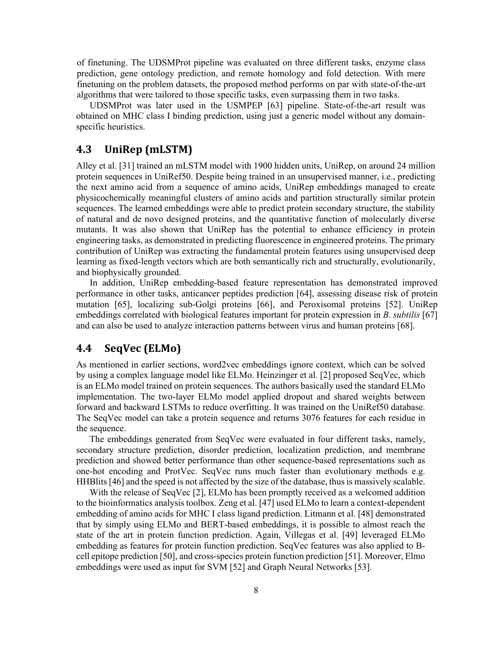of finetuning. The UDSMProt pipeline was evaluated on three different tasks, enzyme class prediction, gene ontology prediction, and remote homology and fold detection. With mere finetuning on the problem datasets, the proposed method performs on par with state-of-the-art algorithms that were tailored to those specific tasks, even surpassing them in two tasks.

UDSMProt was later used in the USMPEP [63] pipeline. State-of-the-art result was obtained on MHC class I binding prediction, using just a generic model without any domainspecific heuristics.

#### **4.3 UniRep (mLSTM)**

Alley et al. [31] trained an mLSTM model with 1900 hidden units, UniRep, on around 24 million protein sequences in UniRef50. Despite being trained in an unsupervised manner, i.e., predicting the next amino acid from a sequence of amino acids, UniRep embeddings managed to create physicochemically meaningful clusters of amino acids and partition structurally similar protein sequences. The learned embeddings were able to predict protein secondary structure, the stability of natural and de novo designed proteins, and the quantitative function of molecularly diverse mutants. It was also shown that UniRep has the potential to enhance efficiency in protein engineering tasks, as demonstrated in predicting fluorescence in engineered proteins. The primary contribution of UniRep was extracting the fundamental protein features using unsupervised deep learning as fixed-length vectors which are both semantically rich and structurally, evolutionarily, and biophysically grounded.

In addition, UniRep embedding-based feature representation has demonstrated improved performance in other tasks, anticancer peptides prediction [64], assessing disease risk of protein mutation [65], localizing sub-Golgi proteins [66], and Peroxisomal proteins [52]. UniRep embeddings correlated with biological features important for protein expression in *B. subtilis* [67] and can also be used to analyze interaction patterns between virus and human proteins [68].

#### **4.4 SeqVec (ELMo)**

As mentioned in earlier sections, word2vec embeddings ignore context, which can be solved by using a complex language model like ELMo. Heinzinger et al. [2] proposed SeqVec, which is an ELMo model trained on protein sequences. The authors basically used the standard ELMo implementation. The two-layer ELMo model applied dropout and shared weights between forward and backward LSTMs to reduce overfitting. It was trained on the UniRef50 database. The SeqVec model can take a protein sequence and returns 3076 features for each residue in the sequence.

The embeddings generated from SeqVec were evaluated in four different tasks, namely, secondary structure prediction, disorder prediction, localization prediction, and membrane prediction and showed better performance than other sequence-based representations such as one-hot encoding and ProtVec. SeqVec runs much faster than evolutionary methods e.g. HHBlits [46] and the speed is not affected by the size of the database, thus is massively scalable.

With the release of SeqVec [2], ELMo has been promptly received as a welcomed addition to the bioinformatics analysis toolbox. Zeng et al. [47] used ELMo to learn a context-dependent embedding of amino acids for MHC I class ligand prediction. Litmann et al. [48] demonstrated that by simply using ELMo and BERT-based embeddings, it is possible to almost reach the state of the art in protein function prediction. Again, Villegas et al. [49] leveraged ELMo embedding as features for protein function prediction. SeqVec features was also applied to Bcell epitope prediction [50], and cross-species protein function prediction [51]. Moreover, Elmo embeddings were used as input for SVM [52] and Graph Neural Networks [53].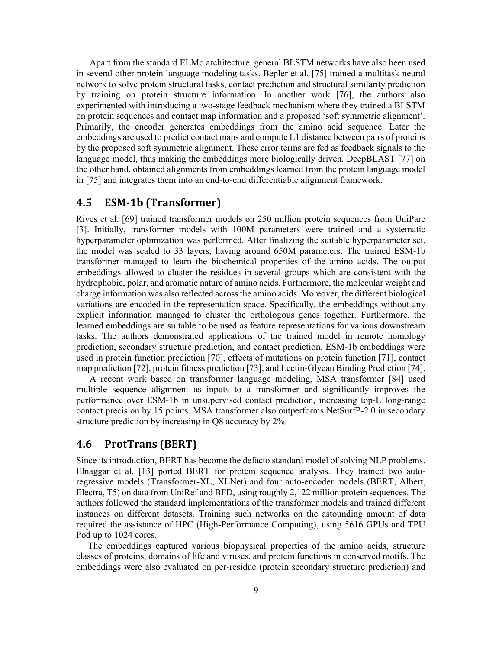Apart from the standard ELMo architecture, general BLSTM networks have also been used in several other protein language modeling tasks. Bepler et al. [75] trained a multitask neural network to solve protein structural tasks, contact prediction and structural similarity prediction by training on protein structure information. In another work [76], the authors also experimented with introducing a two-stage feedback mechanism where they trained a BLSTM on protein sequences and contact map information and a proposed 'soft symmetric alignment'. Primarily, the encoder generates embeddings from the amino acid sequence. Later the embeddings are used to predict contact maps and compute L1 distance between pairs of proteins by the proposed soft symmetric alignment. These error terms are fed as feedback signals to the language model, thus making the embeddings more biologically driven. DeepBLAST [77] on the other hand, obtained alignments from embeddings learned from the protein language model in [75] and integrates them into an end-to-end differentiable alignment framework.

#### **4.5 ESM‐1b (Transformer)**

Rives et al. [69] trained transformer models on 250 million protein sequences from UniParc [3]. Initially, transformer models with 100M parameters were trained and a systematic hyperparameter optimization was performed. After finalizing the suitable hyperparameter set, the model was scaled to 33 layers, having around 650M parameters. The trained ESM-1b transformer managed to learn the biochemical properties of the amino acids. The output embeddings allowed to cluster the residues in several groups which are consistent with the hydrophobic, polar, and aromatic nature of amino acids. Furthermore, the molecular weight and charge information was also reflected across the amino acids. Moreover, the different biological variations are encoded in the representation space. Specifically, the embeddings without any explicit information managed to cluster the orthologous genes together. Furthermore, the learned embeddings are suitable to be used as feature representations for various downstream tasks. The authors demonstrated applications of the trained model in remote homology prediction, secondary structure prediction, and contact prediction. ESM-1b embeddings were used in protein function prediction [70], effects of mutations on protein function [71], contact map prediction [72], protein fitness prediction [73], and Lectin-Glycan Binding Prediction [74].

A recent work based on transformer language modeling, MSA transformer [84] used multiple sequence alignment as inputs to a transformer and significantly improves the performance over ESM-1b in unsupervised contact prediction, increasing top-L long-range contact precision by 15 points. MSA transformer also outperforms NetSurfP-2.0 in secondary structure prediction by increasing in Q8 accuracy by 2%.

### **4.6 ProtTrans (BERT)**

Since its introduction, BERT has become the defacto standard model of solving NLP problems. Elnaggar et al. [13] ported BERT for protein sequence analysis. They trained two autoregressive models (Transformer-XL, XLNet) and four auto-encoder models (BERT, Albert, Electra, T5) on data from UniRef and BFD, using roughly 2,122 million protein sequences. The authors followed the standard implementations of the transformer models and trained different instances on different datasets. Training such networks on the astounding amount of data required the assistance of HPC (High-Performance Computing), using 5616 GPUs and TPU Pod up to 1024 cores.

 The embeddings captured various biophysical properties of the amino acids, structure classes of proteins, domains of life and viruses, and protein functions in conserved motifs. The embeddings were also evaluated on per-residue (protein secondary structure prediction) and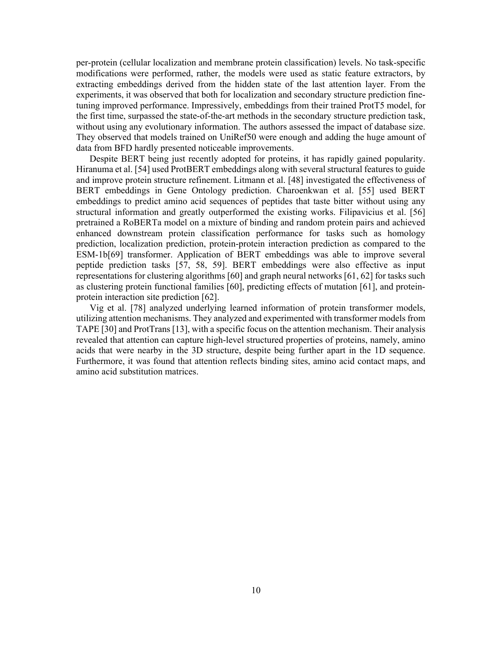per-protein (cellular localization and membrane protein classification) levels. No task-specific modifications were performed, rather, the models were used as static feature extractors, by extracting embeddings derived from the hidden state of the last attention layer. From the experiments, it was observed that both for localization and secondary structure prediction finetuning improved performance. Impressively, embeddings from their trained ProtT5 model, for the first time, surpassed the state-of-the-art methods in the secondary structure prediction task, without using any evolutionary information. The authors assessed the impact of database size. They observed that models trained on UniRef50 were enough and adding the huge amount of data from BFD hardly presented noticeable improvements.

Despite BERT being just recently adopted for proteins, it has rapidly gained popularity. Hiranuma et al. [54] used ProtBERT embeddings along with several structural features to guide and improve protein structure refinement. Litmann et al. [48] investigated the effectiveness of BERT embeddings in Gene Ontology prediction. Charoenkwan et al. [55] used BERT embeddings to predict amino acid sequences of peptides that taste bitter without using any structural information and greatly outperformed the existing works. Filipavicius et al. [56] pretrained a RoBERTa model on a mixture of binding and random protein pairs and achieved enhanced downstream protein classification performance for tasks such as homology prediction, localization prediction, protein-protein interaction prediction as compared to the ESM-1b[69] transformer. Application of BERT embeddings was able to improve several peptide prediction tasks [57, 58, 59]. BERT embeddings were also effective as input representations for clustering algorithms [60] and graph neural networks [61, 62] for tasks such as clustering protein functional families [60], predicting effects of mutation [61], and proteinprotein interaction site prediction [62].

Vig et al. [78] analyzed underlying learned information of protein transformer models, utilizing attention mechanisms. They analyzed and experimented with transformer models from TAPE [30] and ProtTrans [13], with a specific focus on the attention mechanism. Their analysis revealed that attention can capture high-level structured properties of proteins, namely, amino acids that were nearby in the 3D structure, despite being further apart in the 1D sequence. Furthermore, it was found that attention reflects binding sites, amino acid contact maps, and amino acid substitution matrices.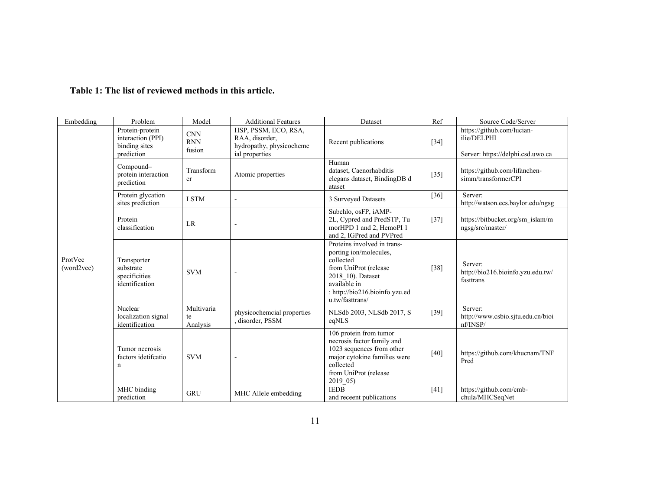| Embedding             | Problem                                                             | Model                              | <b>Additional Features</b>                                                           | Dataset                                                                                                                                                                               | Ref    | Source Code/Server                                                             |
|-----------------------|---------------------------------------------------------------------|------------------------------------|--------------------------------------------------------------------------------------|---------------------------------------------------------------------------------------------------------------------------------------------------------------------------------------|--------|--------------------------------------------------------------------------------|
| ProtVec<br>(word2vec) | Protein-protein<br>interaction (PPI)<br>binding sites<br>prediction | <b>CNN</b><br><b>RNN</b><br>fusion | HSP, PSSM, ECO, RSA,<br>RAA, disorder,<br>hydropathy, physicocheme<br>ial properties | Recent publications                                                                                                                                                                   | $[34]$ | https://github.com/lucian-<br>ilie/DELPHI<br>Server: https://delphi.csd.uwo.ca |
|                       | Compound-<br>protein interaction<br>prediction                      | Transform<br>er                    | Atomic properties                                                                    | Human<br>dataset, Caenorhabditis<br>elegans dataset, BindingDB d<br>ataset                                                                                                            | $[35]$ | https://github.com/lifanchen-<br>simm/transformerCPI                           |
|                       | Protein glycation<br>sites prediction                               | <b>LSTM</b>                        | $\overline{\phantom{a}}$                                                             | 3 Surveyed Datasets                                                                                                                                                                   | $[36]$ | Server:<br>http://watson.ecs.baylor.edu/ngsg                                   |
|                       | Protein<br>classification                                           | <b>LR</b>                          |                                                                                      | Subchlo, osFP, iAMP-<br>2L, Cypred and PredSTP, Tu<br>morHPD 1 and 2, HemoPI 1<br>and 2, IGPred and PVPred                                                                            | $[37]$ | https://bitbucket.org/sm islam/m<br>ngsg/src/master/                           |
|                       | Transporter<br>substrate<br>specificities<br>identification         | <b>SVM</b>                         |                                                                                      | Proteins involved in trans-<br>porting ion/molecules,<br>collected<br>from UniProt (release<br>2018 10). Dataset<br>available in<br>: http://bio216.bioinfo.yzu.ed<br>u.tw/fasttrans/ | $[38]$ | Server:<br>http://bio216.bioinfo.yzu.edu.tw/<br>fasttrans                      |
|                       | Nuclear<br>localization signal<br>identification                    | Multivaria<br>te<br>Analysis       | physicochemcial properties<br>, disorder, PSSM                                       | NLSdb 2003, NLSdb 2017, S<br>eqNLS                                                                                                                                                    | $[39]$ | Server:<br>http://www.csbio.sjtu.edu.cn/bioi<br>nf/INSP/                       |
|                       | Tumor necrosis<br>factors idetificatio<br>n                         | <b>SVM</b>                         |                                                                                      | 106 protein from tumor<br>necrosis factor family and<br>1023 sequences from other<br>major cytokine families were<br>collected<br>from UniProt (release<br>$2019$ 05)                 | [40]   | https://github.com/khucnam/TNF<br>Pred                                         |
|                       | MHC binding<br>prediction                                           | <b>GRU</b>                         | MHC Allele embedding                                                                 | <b>IEDB</b><br>and receent publications                                                                                                                                               | $[41]$ | https://github.com/cmb-<br>chula/MHCSeqNet                                     |

#### **Table 1: The list of reviewed methods in this article.**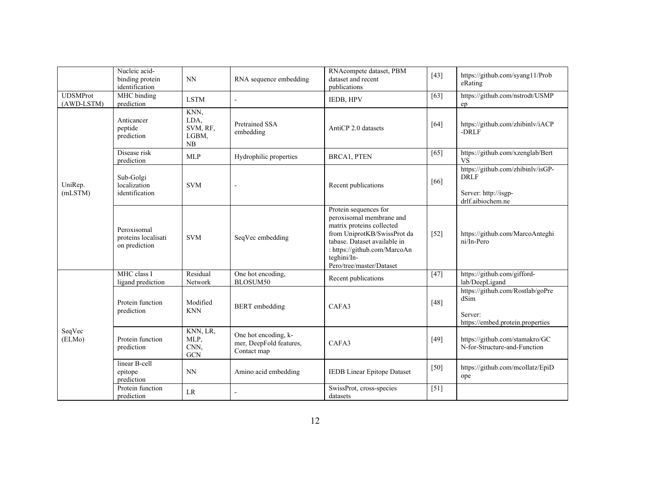|                               | Nucleic acid-<br>binding protein<br>identification  | <b>NN</b>                                      | RNA sequence embedding                                         | RNAcompete dataset, PBM<br>dataset and recent<br>publications                                                                                                                                                            | $[43]$ | https://github.com/syang11/Prob<br>eRating                                                    |
|-------------------------------|-----------------------------------------------------|------------------------------------------------|----------------------------------------------------------------|--------------------------------------------------------------------------------------------------------------------------------------------------------------------------------------------------------------------------|--------|-----------------------------------------------------------------------------------------------|
| <b>UDSMProt</b><br>(AWD-LSTM) | MHC binding<br>prediction                           | <b>LSTM</b>                                    | ÷,                                                             | IEDB, HPV                                                                                                                                                                                                                | $[63]$ | https://github.com/nstrodt/USMP<br>ep                                                         |
| UniRep.<br>(mLSTM)            | Anticancer<br>peptide<br>prediction                 | KNN.<br>LDA,<br>SVM, RF,<br>LGBM,<br><b>NB</b> | Pretrained SSA<br>embedding                                    | AntiCP 2.0 datasets                                                                                                                                                                                                      | $[64]$ | https://github.com/zhibinlv/iACP<br>-DRLF                                                     |
|                               | Disease risk<br>prediction                          | <b>MLP</b>                                     | Hydrophilic properties                                         | <b>BRCA1, PTEN</b>                                                                                                                                                                                                       | [65]   | https://github.com/xzenglab/Bert<br>VS                                                        |
|                               | Sub-Golgi<br>localization<br>identification         | <b>SVM</b>                                     | $\blacksquare$                                                 | Recent publications                                                                                                                                                                                                      | [66]   | https://github.com/zhibinlv/isGP-<br><b>DRLF</b><br>Server: http://isgp-<br>drlf.aibiochem.ne |
|                               | Peroxisomal<br>proteins localisati<br>on prediction | <b>SVM</b>                                     | SeqVec embedding                                               | Protein sequences for<br>peroxisomal membrane and<br>matrix proteins collected<br>from UniprotKB/SwissProt da<br>tabase. Dataset available in<br>: https://github.com/MarcoAn<br>teghini/In-<br>Pero/tree/master/Dataset | $[52]$ | https://github.com/MarcoAnteghi<br>ni/In-Pero                                                 |
| SeqVec<br>(ELMo)              | MHC class I<br>ligand prediction                    | Residual<br>Network                            | One hot encoding,<br>BLOSUM50                                  | Recent publications                                                                                                                                                                                                      | $[47]$ | https://github.com/gifford-<br>lab/DeepLigand                                                 |
|                               | Protein function<br>prediction                      | Modified<br><b>KNN</b>                         | <b>BERT</b> embedding                                          | CAFA3                                                                                                                                                                                                                    | $[48]$ | https://github.com/Rostlab/goPre<br>dSim<br>Server:<br>https://embed.protein.properties       |
|                               | Protein function<br>prediction                      | KNN, LR,<br>MLP,<br>CNN,<br><b>GCN</b>         | One hot encoding, k-<br>mer, DeepFold features,<br>Contact map | CAFA3                                                                                                                                                                                                                    | $[49]$ | https://github.com/stamakro/GC<br>N-for-Structure-and-Function                                |
|                               | linear B-cell<br>epitope<br>prediction              | <b>NN</b>                                      | Amino acid embedding                                           | IEDB Linear Epitope Dataset                                                                                                                                                                                              | $[50]$ | https://github.com/mcollatz/EpiD<br>ope                                                       |
|                               | Protein function<br>prediction                      | <b>LR</b>                                      |                                                                | SwissProt, cross-species<br>datasets                                                                                                                                                                                     | $[51]$ |                                                                                               |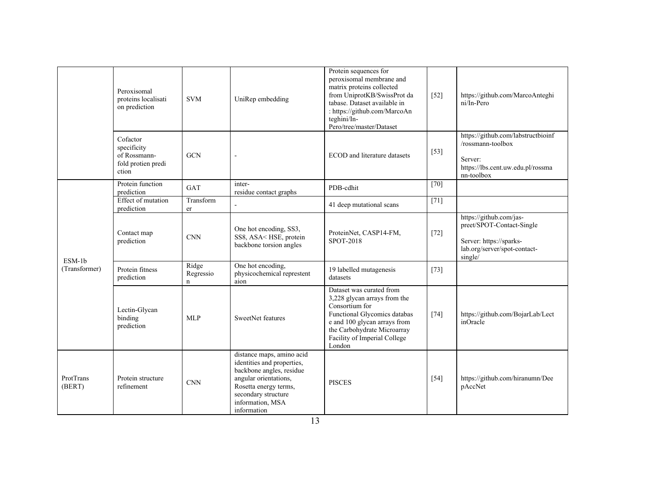|                         | Peroxisomal<br>proteins localisati<br>on prediction                    | <b>SVM</b>              | UniRep embedding                                                                                                                                                                                | Protein sequences for<br>peroxisomal membrane and<br>matrix proteins collected<br>from UniprotKB/SwissProt da<br>tabase. Dataset available in<br>: https://github.com/MarcoAn<br>teghini/In-<br>Pero/tree/master/Dataset | $[52]$ | https://github.com/MarcoAnteghi<br>ni/In-Pero                                                                              |
|-------------------------|------------------------------------------------------------------------|-------------------------|-------------------------------------------------------------------------------------------------------------------------------------------------------------------------------------------------|--------------------------------------------------------------------------------------------------------------------------------------------------------------------------------------------------------------------------|--------|----------------------------------------------------------------------------------------------------------------------------|
|                         | Cofactor<br>specificity<br>of Rossmann-<br>fold protien predi<br>ction | <b>GCN</b>              | $\overline{a}$                                                                                                                                                                                  | ECOD and literature datasets                                                                                                                                                                                             | $[53]$ | https://github.com/labstructbioinf<br>/rossmann-toolbox<br>Server:<br>https://lbs.cent.uw.edu.pl/rossma<br>nn-toolbox      |
|                         | Protein function<br>prediction                                         | <b>GAT</b>              | inter-<br>residue contact graphs                                                                                                                                                                | PDB-cdhit                                                                                                                                                                                                                | $[70]$ |                                                                                                                            |
|                         | Effect of mutation<br>prediction                                       | Transform<br>er         |                                                                                                                                                                                                 | 41 deep mutational scans                                                                                                                                                                                                 | $[71]$ |                                                                                                                            |
| ESM-1b<br>(Transformer) | Contact map<br>prediction                                              | <b>CNN</b>              | One hot encoding, SS3,<br>SS8, ASA< HSE, protein<br>backbone torsion angles                                                                                                                     | ProteinNet, CASP14-FM,<br>SPOT-2018                                                                                                                                                                                      | $[72]$ | https://github.com/jas-<br>preet/SPOT-Contact-Single<br>Server: https://sparks-<br>lab.org/server/spot-contact-<br>single/ |
|                         | Protein fitness<br>prediction                                          | Ridge<br>Regressio<br>n | One hot encoding,<br>physicochemical represtent<br>aion                                                                                                                                         | 19 labelled mutagenesis<br>datasets                                                                                                                                                                                      | $[73]$ |                                                                                                                            |
|                         | Lectin-Glycan<br>binding<br>prediction                                 | <b>MLP</b>              | SweetNet features                                                                                                                                                                               | Dataset was curated from<br>3,228 glycan arrays from the<br>Consortium for<br>Functional Glycomics databas<br>e and 100 glycan arrays from<br>the Carbohydrate Microarray<br>Facility of Imperial College<br>London      | $[74]$ | https://github.com/BojarLab/Lect<br>inOracle                                                                               |
| ProtTrans<br>(BERT)     | Protein structure<br>refinement                                        | <b>CNN</b>              | distance maps, amino acid<br>identities and properties,<br>backbone angles, residue<br>angular orientations,<br>Rosetta energy terms,<br>secondary structure<br>information, MSA<br>information | <b>PISCES</b>                                                                                                                                                                                                            | $[54]$ | https://github.com/hiranumn/Dee<br>pAccNet                                                                                 |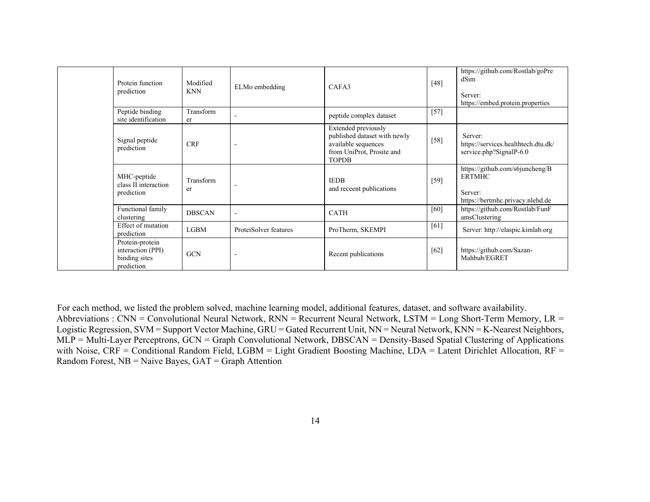|  | Protein function<br>prediction                                      | Modified<br><b>KNN</b> | ELMo embedding           | CAFA3                                                                                                                   | $[48]$ | https://github.com/Rostlab/goPre<br>dSim<br>Server:<br>https://embed.protein.properties         |
|--|---------------------------------------------------------------------|------------------------|--------------------------|-------------------------------------------------------------------------------------------------------------------------|--------|-------------------------------------------------------------------------------------------------|
|  | Peptide binding<br>site identification                              | Transform<br>er        |                          | peptide complex dataset                                                                                                 | $[57]$ |                                                                                                 |
|  | Signal peptide<br>prediction                                        | <b>CRF</b>             | $\tilde{\phantom{a}}$    | Extended previously<br>published dataset with newly<br>available sequences<br>from UniProt, Prosite and<br><b>TOPDB</b> | $[58]$ | Server:<br>https://services.healthtech.dtu.dk/<br>service.php?SignalP-6.0                       |
|  | MHC-peptide<br>class II interaction<br>prediction                   | Transform<br>er        |                          | <b>IEDB</b><br>and receent publications                                                                                 | $[59]$ | https://github.com/s6juncheng/B<br><b>ERTMHC</b><br>Server:<br>https://bertmhc.privacy.nlehd.de |
|  | Functional family<br>clustering                                     | <b>DBSCAN</b>          | $\overline{\phantom{a}}$ | <b>CATH</b>                                                                                                             | [60]   | https://github.com/Rostlab/FunF<br>amsClustering                                                |
|  | Effect of mutation<br>prediction                                    | <b>LGBM</b>            | ProteiSolver features    | ProTherm, SKEMPI                                                                                                        | $[61]$ | Server: http://elaspic.kimlab.org                                                               |
|  | Protein-protein<br>interaction (PPI)<br>binding sites<br>prediction | <b>GCN</b>             | $\overline{\phantom{a}}$ | Recent publications                                                                                                     | $[62]$ | https://github.com/Sazan-<br>Mahbub/EGRET                                                       |

For each method, we listed the problem solved, machine learning model, additional features, dataset, and software availability. Abbreviations : CNN = Convolutional Neural Network, RNN = Recurrent Neural Network, LSTM = Long Short-Term Memory, LR = Logistic Regression, SVM = Support Vector Machine, GRU = Gated Recurrent Unit, NN = Neural Network, KNN = K-Nearest Neighbors, MLP = Multi-Layer Perceptrons, GCN = Graph Convolutional Network, DBSCAN = Density-Based Spatial Clustering of Applications with Noise, CRF = Conditional Random Field, LGBM = Light Gradient Boosting Machine, LDA = Latent Dirichlet Allocation, RF = Random Forest, NB = Naive Bayes, GAT = Graph Attention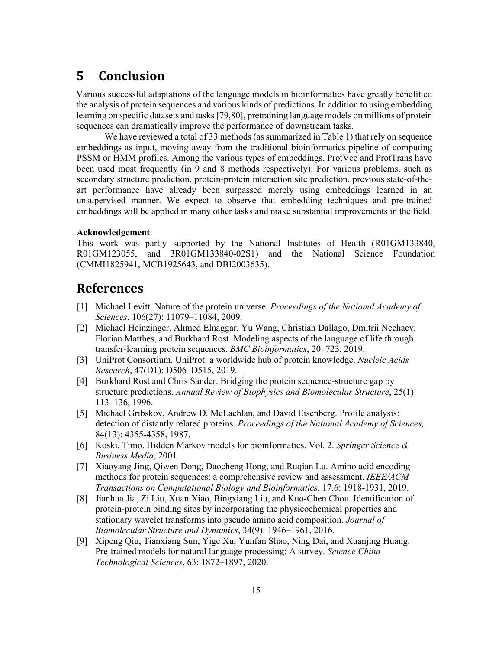## **5 Conclusion**

Various successful adaptations of the language models in bioinformatics have greatly benefitted the analysis of protein sequences and various kinds of predictions. In addition to using embedding learning on specific datasets and tasks [79,80], pretraining language models on millions of protein sequences can dramatically improve the performance of downstream tasks.

We have reviewed a total of 33 methods (as summarized in Table 1) that rely on sequence embeddings as input, moving away from the traditional bioinformatics pipeline of computing PSSM or HMM profiles. Among the various types of embeddings, ProtVec and ProtTrans have been used most frequently (in 9 and 8 methods respectively). For various problems, such as secondary structure prediction, protein-protein interaction site prediction, previous state-of-theart performance have already been surpassed merely using embeddings learned in an unsupervised manner. We expect to observe that embedding techniques and pre-trained embeddings will be applied in many other tasks and make substantial improvements in the field.

#### **Acknowledgement**

This work was partly supported by the National Institutes of Health (R01GM133840, R01GM123055, and 3R01GM133840-02S1) and the National Science Foundation (CMMI1825941, MCB1925643, and DBI2003635).

## **References**

- [1] Michael Levitt. Nature of the protein universe. *Proceedings of the National Academy of Sciences*, 106(27): 11079–11084, 2009.
- [2] Michael Heinzinger, Ahmed Elnaggar, Yu Wang, Christian Dallago, Dmitrii Nechaev, Florian Matthes, and Burkhard Rost. Modeling aspects of the language of life through transfer-learning protein sequences. *BMC Bioinformatics*, 20: 723, 2019.
- [3] UniProt Consortium. UniProt: a worldwide hub of protein knowledge. *Nucleic Acids Research*, 47(D1): D506–D515, 2019.
- [4] Burkhard Rost and Chris Sander. Bridging the protein sequence-structure gap by structure predictions. *Annual Review of Biophysics and Biomolecular Structure*, 25(1): 113–136, 1996.
- [5] Michael Gribskov, Andrew D. McLachlan, and David Eisenberg. Profile analysis: detection of distantly related proteins. *Proceedings of the National Academy of Sciences,* 84(13): 4355-4358, 1987.
- [6] Koski, Timo. Hidden Markov models for bioinformatics. Vol. 2. *Springer Science & Business Media*, 2001.
- [7] Xiaoyang Jing, Qiwen Dong, Daocheng Hong, and Ruqian Lu. Amino acid encoding methods for protein sequences: a comprehensive review and assessment. *IEEE/ACM Transactions on Computational Biology and Bioinformatics,* 17.6: 1918-1931, 2019.
- [8] Jianhua Jia, Zi Liu, Xuan Xiao, Bingxiang Liu, and Kuo-Chen Chou. Identification of protein-protein binding sites by incorporating the physicochemical properties and stationary wavelet transforms into pseudo amino acid composition. *Journal of Biomolecular Structure and Dynamics*, 34(9): 1946–1961, 2016.
- [9] Xipeng Qiu, Tianxiang Sun, Yige Xu, Yunfan Shao, Ning Dai, and Xuanjing Huang. Pre-trained models for natural language processing: A survey. *Science China Technological Sciences*, 63: 1872–1897, 2020.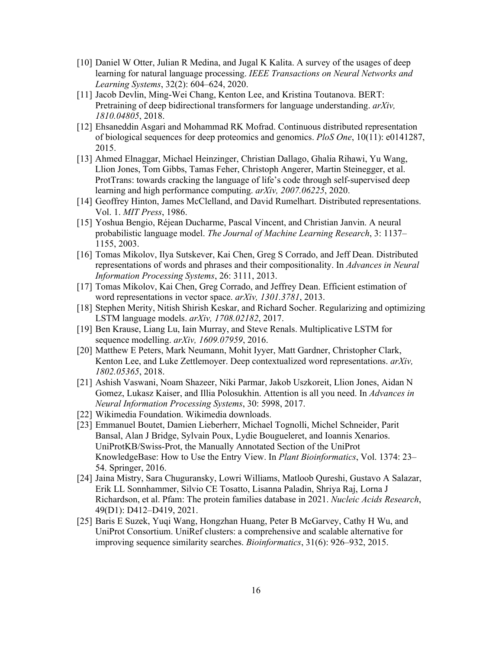- [10] Daniel W Otter, Julian R Medina, and Jugal K Kalita. A survey of the usages of deep learning for natural language processing. *IEEE Transactions on Neural Networks and Learning Systems*, 32(2): 604–624, 2020.
- [11] Jacob Devlin, Ming-Wei Chang, Kenton Lee, and Kristina Toutanova. BERT: Pretraining of deep bidirectional transformers for language understanding. *arXiv, 1810.04805*, 2018.
- [12] Ehsaneddin Asgari and Mohammad RK Mofrad. Continuous distributed representation of biological sequences for deep proteomics and genomics. *PloS One*, 10(11): e0141287, 2015.
- [13] Ahmed Elnaggar, Michael Heinzinger, Christian Dallago, Ghalia Rihawi, Yu Wang, Llion Jones, Tom Gibbs, Tamas Feher, Christoph Angerer, Martin Steinegger, et al. ProtTrans: towards cracking the language of life's code through self-supervised deep learning and high performance computing. *arXiv, 2007.06225*, 2020.
- [14] Geoffrey Hinton, James McClelland, and David Rumelhart. Distributed representations. Vol. 1. *MIT Press*, 1986.
- [15] Yoshua Bengio, Réjean Ducharme, Pascal Vincent, and Christian Janvin. A neural probabilistic language model. *The Journal of Machine Learning Research*, 3: 1137– 1155, 2003.
- [16] Tomas Mikolov, Ilya Sutskever, Kai Chen, Greg S Corrado, and Jeff Dean. Distributed representations of words and phrases and their compositionality. In *Advances in Neural Information Processing Systems*, 26: 3111, 2013.
- [17] Tomas Mikolov, Kai Chen, Greg Corrado, and Jeffrey Dean. Efficient estimation of word representations in vector space. *arXiv, 1301.3781*, 2013.
- [18] Stephen Merity, Nitish Shirish Keskar, and Richard Socher. Regularizing and optimizing LSTM language models. *arXiv, 1708.02182*, 2017.
- [19] Ben Krause, Liang Lu, Iain Murray, and Steve Renals. Multiplicative LSTM for sequence modelling. *arXiv, 1609.07959*, 2016.
- [20] Matthew E Peters, Mark Neumann, Mohit Iyyer, Matt Gardner, Christopher Clark, Kenton Lee, and Luke Zettlemoyer. Deep contextualized word representations. *arXiv, 1802.05365*, 2018.
- [21] Ashish Vaswani, Noam Shazeer, Niki Parmar, Jakob Uszkoreit, Llion Jones, Aidan N Gomez, Lukasz Kaiser, and Illia Polosukhin. Attention is all you need. In *Advances in Neural Information Processing Systems*, 30: 5998, 2017.
- [22] Wikimedia Foundation. Wikimedia downloads.
- [23] Emmanuel Boutet, Damien Lieberherr, Michael Tognolli, Michel Schneider, Parit Bansal, Alan J Bridge, Sylvain Poux, Lydie Bougueleret, and Ioannis Xenarios. UniProtKB/Swiss-Prot, the Manually Annotated Section of the UniProt KnowledgeBase: How to Use the Entry View. In *Plant Bioinformatics*, Vol. 1374: 23– 54. Springer, 2016.
- [24] Jaina Mistry, Sara Chuguransky, Lowri Williams, Matloob Qureshi, Gustavo A Salazar, Erik LL Sonnhammer, Silvio CE Tosatto, Lisanna Paladin, Shriya Raj, Lorna J Richardson, et al. Pfam: The protein families database in 2021. *Nucleic Acids Research*, 49(D1): D412–D419, 2021.
- [25] Baris E Suzek, Yuqi Wang, Hongzhan Huang, Peter B McGarvey, Cathy H Wu, and UniProt Consortium. UniRef clusters: a comprehensive and scalable alternative for improving sequence similarity searches. *Bioinformatics*, 31(6): 926–932, 2015.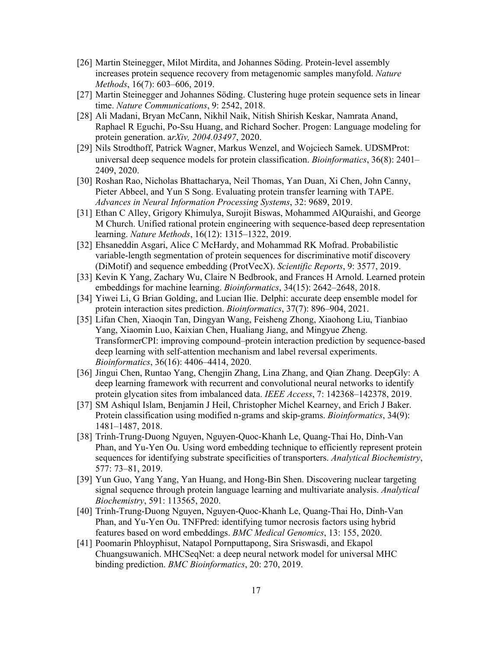- [26] Martin Steinegger, Milot Mirdita, and Johannes Söding. Protein-level assembly increases protein sequence recovery from metagenomic samples manyfold. *Nature Methods*, 16(7): 603–606, 2019.
- [27] Martin Steinegger and Johannes Söding. Clustering huge protein sequence sets in linear time. *Nature Communications*, 9: 2542, 2018.
- [28] Ali Madani, Bryan McCann, Nikhil Naik, Nitish Shirish Keskar, Namrata Anand, Raphael R Eguchi, Po-Ssu Huang, and Richard Socher. Progen: Language modeling for protein generation. a*rXiv, 2004.03497*, 2020.
- [29] Nils Strodthoff, Patrick Wagner, Markus Wenzel, and Wojciech Samek. UDSMProt: universal deep sequence models for protein classification. *Bioinformatics*, 36(8): 2401– 2409, 2020.
- [30] Roshan Rao, Nicholas Bhattacharya, Neil Thomas, Yan Duan, Xi Chen, John Canny, Pieter Abbeel, and Yun S Song. Evaluating protein transfer learning with TAPE. *Advances in Neural Information Processing Systems*, 32: 9689, 2019.
- [31] Ethan C Alley, Grigory Khimulya, Surojit Biswas, Mohammed AlQuraishi, and George M Church. Unified rational protein engineering with sequence-based deep representation learning. *Nature Methods*, 16(12): 1315–1322, 2019.
- [32] Ehsaneddin Asgari, Alice C McHardy, and Mohammad RK Mofrad. Probabilistic variable-length segmentation of protein sequences for discriminative motif discovery (DiMotif) and sequence embedding (ProtVecX). *Scientific Reports*, 9: 3577, 2019.
- [33] Kevin K Yang, Zachary Wu, Claire N Bedbrook, and Frances H Arnold. Learned protein embeddings for machine learning. *Bioinformatics*, 34(15): 2642–2648, 2018.
- [34] Yiwei Li, G Brian Golding, and Lucian Ilie. Delphi: accurate deep ensemble model for protein interaction sites prediction. *Bioinformatics*, 37(7): 896–904, 2021.
- [35] Lifan Chen, Xiaoqin Tan, Dingyan Wang, Feisheng Zhong, Xiaohong Liu, Tianbiao Yang, Xiaomin Luo, Kaixian Chen, Hualiang Jiang, and Mingyue Zheng. TransformerCPI: improving compound–protein interaction prediction by sequence-based deep learning with self-attention mechanism and label reversal experiments. *Bioinformatics*, 36(16): 4406–4414, 2020.
- [36] Jingui Chen, Runtao Yang, Chengjin Zhang, Lina Zhang, and Qian Zhang. DeepGly: A deep learning framework with recurrent and convolutional neural networks to identify protein glycation sites from imbalanced data. *IEEE Access*, 7: 142368–142378, 2019.
- [37] SM Ashiqul Islam, Benjamin J Heil, Christopher Michel Kearney, and Erich J Baker. Protein classification using modified n-grams and skip-grams. *Bioinformatics*, 34(9): 1481–1487, 2018.
- [38] Trinh-Trung-Duong Nguyen, Nguyen-Quoc-Khanh Le, Quang-Thai Ho, Dinh-Van Phan, and Yu-Yen Ou. Using word embedding technique to efficiently represent protein sequences for identifying substrate specificities of transporters. *Analytical Biochemistry*, 577: 73–81, 2019.
- [39] Yun Guo, Yang Yang, Yan Huang, and Hong-Bin Shen. Discovering nuclear targeting signal sequence through protein language learning and multivariate analysis. *Analytical Biochemistry*, 591: 113565, 2020.
- [40] Trinh-Trung-Duong Nguyen, Nguyen-Quoc-Khanh Le, Quang-Thai Ho, Dinh-Van Phan, and Yu-Yen Ou. TNFPred: identifying tumor necrosis factors using hybrid features based on word embeddings. *BMC Medical Genomics*, 13: 155, 2020.
- [41] Poomarin Phloyphisut, Natapol Pornputtapong, Sira Sriswasdi, and Ekapol Chuangsuwanich. MHCSeqNet: a deep neural network model for universal MHC binding prediction. *BMC Bioinformatics*, 20: 270, 2019.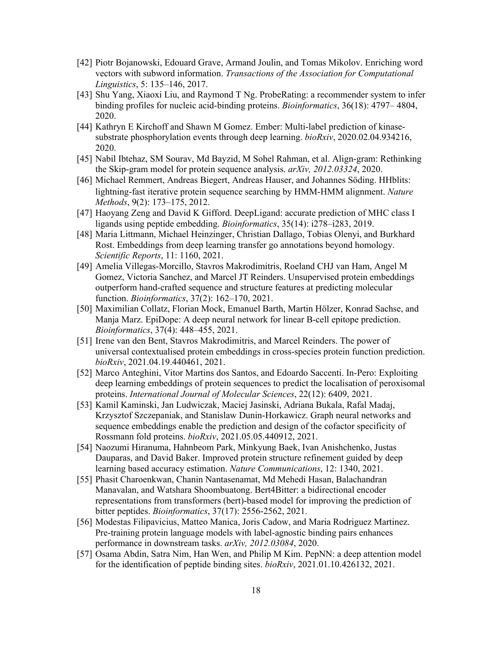- [42] Piotr Bojanowski, Edouard Grave, Armand Joulin, and Tomas Mikolov. Enriching word vectors with subword information. *Transactions of the Association for Computational Linguistics*, 5: 135–146, 2017.
- [43] Shu Yang, Xiaoxi Liu, and Raymond T Ng. ProbeRating: a recommender system to infer binding profiles for nucleic acid-binding proteins. *Bioinformatics*, 36(18): 4797– 4804, 2020.
- [44] Kathryn E Kirchoff and Shawn M Gomez. Ember: Multi-label prediction of kinasesubstrate phosphorylation events through deep learning. *bioRxiv*, 2020.02.04.934216, 2020.
- [45] Nabil Ibtehaz, SM Sourav, Md Bayzid, M Sohel Rahman, et al. Align-gram: Rethinking the Skip-gram model for protein sequence analysis. *arXiv, 2012.03324*, 2020.
- [46] Michael Remmert, Andreas Biegert, Andreas Hauser, and Johannes Söding. HHblits: lightning-fast iterative protein sequence searching by HMM-HMM alignment. *Nature Methods*, 9(2): 173–175, 2012.
- [47] Haoyang Zeng and David K Gifford. DeepLigand: accurate prediction of MHC class I ligands using peptide embedding. *Bioinformatics*, 35(14): i278–i283, 2019.
- [48] Maria Littmann, Michael Heinzinger, Christian Dallago, Tobias Olenyi, and Burkhard Rost. Embeddings from deep learning transfer go annotations beyond homology. *Scientific Reports*, 11: 1160, 2021.
- [49] Amelia Villegas-Morcillo, Stavros Makrodimitris, Roeland CHJ van Ham, Angel M Gomez, Victoria Sanchez, and Marcel JT Reinders. Unsupervised protein embeddings outperform hand-crafted sequence and structure features at predicting molecular function. *Bioinformatics*, 37(2): 162–170, 2021.
- [50] Maximilian Collatz, Florian Mock, Emanuel Barth, Martin Hölzer, Konrad Sachse, and Manja Marz. EpiDope: A deep neural network for linear B-cell epitope prediction. *Bioinformatics*, 37(4): 448–455, 2021.
- [51] Irene van den Bent, Stavros Makrodimitris, and Marcel Reinders. The power of universal contextualised protein embeddings in cross-species protein function prediction. *bioRxiv*, 2021.04.19.440461, 2021.
- [52] Marco Anteghini, Vitor Martins dos Santos, and Edoardo Saccenti. In-Pero: Exploiting deep learning embeddings of protein sequences to predict the localisation of peroxisomal proteins. *International Journal of Molecular Sciences*, 22(12): 6409, 2021.
- [53] Kamil Kaminski, Jan Ludwiczak, Maciej Jasinski, Adriana Bukala, Rafal Madaj, Krzysztof Szczepaniak, and Stanislaw Dunin-Horkawicz. Graph neural networks and sequence embeddings enable the prediction and design of the cofactor specificity of Rossmann fold proteins. *bioRxiv*, 2021.05.05.440912, 2021.
- [54] Naozumi Hiranuma, Hahnbeom Park, Minkyung Baek, Ivan Anishchenko, Justas Dauparas, and David Baker. Improved protein structure refinement guided by deep learning based accuracy estimation. *Nature Communications*, 12: 1340, 2021.
- [55] Phasit Charoenkwan, Chanin Nantasenamat, Md Mehedi Hasan, Balachandran Manavalan, and Watshara Shoombuatong. Bert4Bitter: a bidirectional encoder representations from transformers (bert)-based model for improving the prediction of bitter peptides. *Bioinformatics*, 37(17): 2556-2562, 2021.
- [56] Modestas Filipavicius, Matteo Manica, Joris Cadow, and Maria Rodriguez Martinez. Pre-training protein language models with label-agnostic binding pairs enhances performance in downstream tasks. *arXiv, 2012.03084*, 2020.
- [57] Osama Abdin, Satra Nim, Han Wen, and Philip M Kim. PepNN: a deep attention model for the identification of peptide binding sites. *bioRxiv*, 2021.01.10.426132, 2021.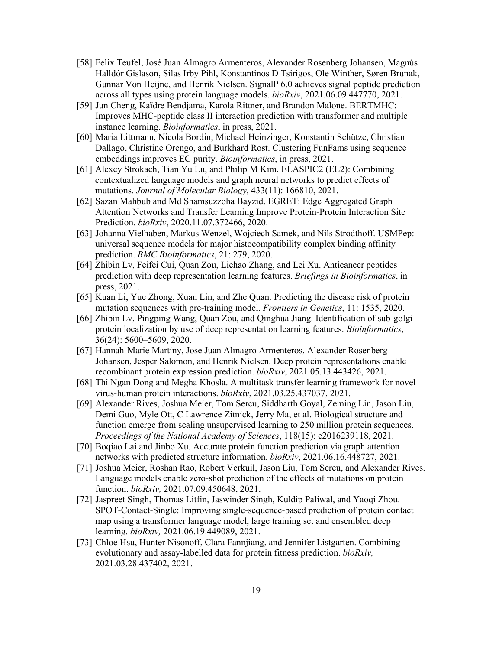- [58] Felix Teufel, José Juan Almagro Armenteros, Alexander Rosenberg Johansen, Magnús Halldór Gislason, Silas Irby Pihl, Konstantinos D Tsirigos, Ole Winther, Søren Brunak, Gunnar Von Heijne, and Henrik Nielsen. SignalP 6.0 achieves signal peptide prediction across all types using protein language models. *bioRxiv*, 2021.06.09.447770, 2021.
- [59] Jun Cheng, Kaïdre Bendjama, Karola Rittner, and Brandon Malone. BERTMHC: Improves MHC-peptide class II interaction prediction with transformer and multiple instance learning. *Bioinformatics*, in press, 2021.
- [60] Maria Littmann, Nicola Bordin, Michael Heinzinger, Konstantin Schütze, Christian Dallago, Christine Orengo, and Burkhard Rost. Clustering FunFams using sequence embeddings improves EC purity. *Bioinformatics*, in press, 2021.
- [61] Alexey Strokach, Tian Yu Lu, and Philip M Kim. ELASPIC2 (EL2): Combining contextualized language models and graph neural networks to predict effects of mutations. *Journal of Molecular Biology*, 433(11): 166810, 2021.
- [62] Sazan Mahbub and Md Shamsuzzoha Bayzid. EGRET: Edge Aggregated Graph Attention Networks and Transfer Learning Improve Protein-Protein Interaction Site Prediction. *bioRxiv*, 2020.11.07.372466, 2020.
- [63] Johanna Vielhaben, Markus Wenzel, Wojciech Samek, and Nils Strodthoff. USMPep: universal sequence models for major histocompatibility complex binding affinity prediction. *BMC Bioinformatics*, 21: 279, 2020.
- [64] Zhibin Lv, Feifei Cui, Quan Zou, Lichao Zhang, and Lei Xu. Anticancer peptides prediction with deep representation learning features. *Briefings in Bioinformatics*, in press, 2021.
- [65] Kuan Li, Yue Zhong, Xuan Lin, and Zhe Quan. Predicting the disease risk of protein mutation sequences with pre-training model. *Frontiers in Genetics*, 11: 1535, 2020.
- [66] Zhibin Lv, Pingping Wang, Quan Zou, and Qinghua Jiang. Identification of sub-golgi protein localization by use of deep representation learning features. *Bioinformatics*, 36(24): 5600–5609, 2020.
- [67] Hannah-Marie Martiny, Jose Juan Almagro Armenteros, Alexander Rosenberg Johansen, Jesper Salomon, and Henrik Nielsen. Deep protein representations enable recombinant protein expression prediction. *bioRxiv*, 2021.05.13.443426, 2021.
- [68] Thi Ngan Dong and Megha Khosla. A multitask transfer learning framework for novel virus-human protein interactions. *bioRxiv*, 2021.03.25.437037, 2021.
- [69] Alexander Rives, Joshua Meier, Tom Sercu, Siddharth Goyal, Zeming Lin, Jason Liu, Demi Guo, Myle Ott, C Lawrence Zitnick, Jerry Ma, et al. Biological structure and function emerge from scaling unsupervised learning to 250 million protein sequences. *Proceedings of the National Academy of Sciences*, 118(15): e2016239118, 2021.
- [70] Boqiao Lai and Jinbo Xu. Accurate protein function prediction via graph attention networks with predicted structure information. *bioRxiv*, 2021.06.16.448727, 2021.
- [71] Joshua Meier, Roshan Rao, Robert Verkuil, Jason Liu, Tom Sercu, and Alexander Rives. Language models enable zero-shot prediction of the effects of mutations on protein function. *bioRxiv,* 2021.07.09.450648, 2021.
- [72] Jaspreet Singh, Thomas Litfin, Jaswinder Singh, Kuldip Paliwal, and Yaoqi Zhou. SPOT-Contact-Single: Improving single-sequence-based prediction of protein contact map using a transformer language model, large training set and ensembled deep learning. *bioRxiv,* 2021.06.19.449089, 2021.
- [73] Chloe Hsu, Hunter Nisonoff, Clara Fannjiang, and Jennifer Listgarten. Combining evolutionary and assay-labelled data for protein fitness prediction. *bioRxiv,* 2021.03.28.437402, 2021.